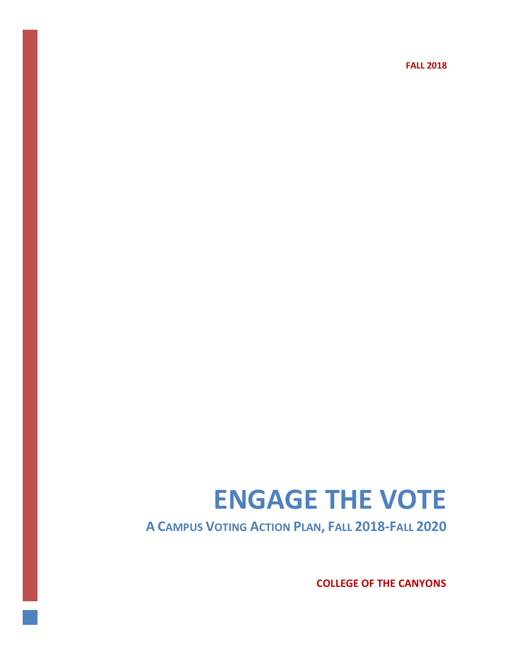**FALL 2018**

# **ENGAGE THE VOTE**

**A CAMPUS VOTING ACTION PLAN, FALL 2018-FALL 2020**

**COLLEGE OF THE CANYONS**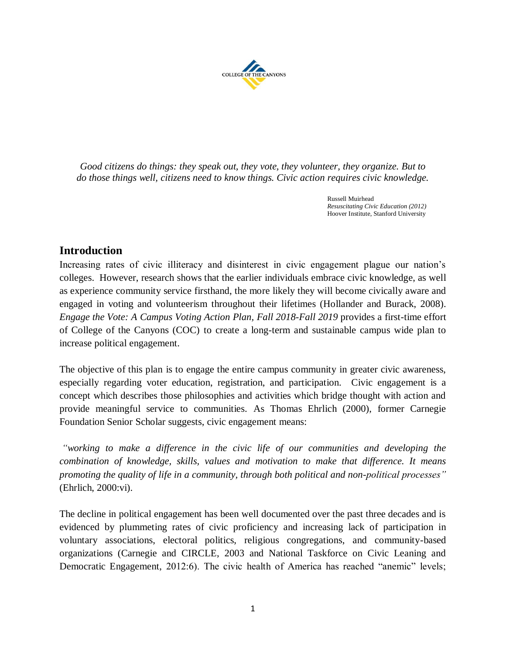

*Good citizens do things: they speak out, they vote, they volunteer, they organize. But to do those things well, citizens need to know things. Civic action requires civic knowledge.*

> Russell Muirhead *Resuscitating Civic Education (2012)* Hoover Institute, Stanford University

# **Introduction**

Increasing rates of civic illiteracy and disinterest in civic engagement plague our nation's colleges. However, research shows that the earlier individuals embrace civic knowledge, as well as experience community service firsthand, the more likely they will become civically aware and engaged in voting and volunteerism throughout their lifetimes (Hollander and Burack, 2008). *Engage the Vote: A Campus Voting Action Plan, Fall 2018-Fall 2019* provides a first-time effort of College of the Canyons (COC) to create a long-term and sustainable campus wide plan to increase political engagement.

The objective of this plan is to engage the entire campus community in greater civic awareness, especially regarding voter education, registration, and participation. Civic engagement is a concept which describes those philosophies and activities which bridge thought with action and provide meaningful service to communities. As Thomas Ehrlich (2000), former Carnegie Foundation Senior Scholar suggests, civic engagement means:

*"working to make a difference in the civic life of our communities and developing the combination of knowledge, skills, values and motivation to make that difference. It means promoting the quality of life in a community, through both political and non-political processes"* (Ehrlich, 2000:vi).

The decline in political engagement has been well documented over the past three decades and is evidenced by plummeting rates of civic proficiency and increasing lack of participation in voluntary associations, electoral politics, religious congregations, and community-based organizations (Carnegie and CIRCLE, 2003 and National Taskforce on Civic Leaning and Democratic Engagement, 2012:6). The civic health of America has reached "anemic" levels;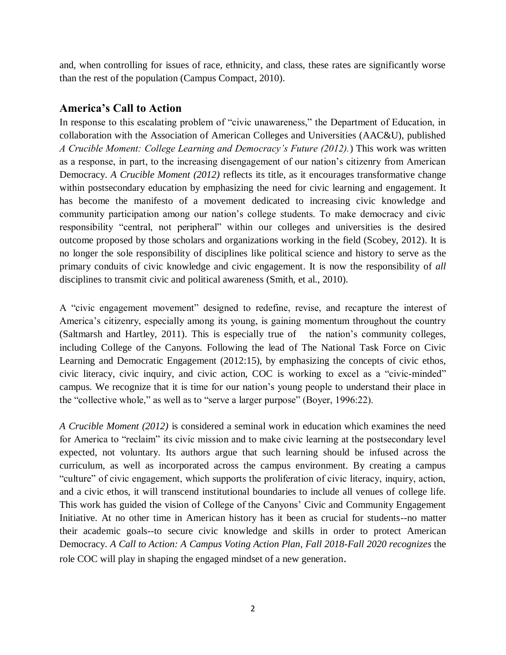and, when controlling for issues of race, ethnicity, and class, these rates are significantly worse than the rest of the population (Campus Compact, 2010).

# **America's Call to Action**

In response to this escalating problem of "civic unawareness," the Department of Education, in collaboration with the Association of American Colleges and Universities (AAC&U), published *A Crucible Moment: College Learning and Democracy's Future (2012).*) This work was written as a response, in part, to the increasing disengagement of our nation's citizenry from American Democracy. *A Crucible Moment (2012)* reflects its title, as it encourages transformative change within postsecondary education by emphasizing the need for civic learning and engagement. It has become the manifesto of a movement dedicated to increasing civic knowledge and community participation among our nation's college students. To make democracy and civic responsibility "central, not peripheral" within our colleges and universities is the desired outcome proposed by those scholars and organizations working in the field (Scobey, 2012). It is no longer the sole responsibility of disciplines like political science and history to serve as the primary conduits of civic knowledge and civic engagement. It is now the responsibility of *all* disciplines to transmit civic and political awareness (Smith, et al., 2010).

A "civic engagement movement" designed to redefine, revise, and recapture the interest of America's citizenry, especially among its young, is gaining momentum throughout the country (Saltmarsh and Hartley, 2011). This is especially true of the nation's community colleges, including College of the Canyons. Following the lead of The National Task Force on Civic Learning and Democratic Engagement (2012:15), by emphasizing the concepts of civic ethos, civic literacy, civic inquiry, and civic action, COC is working to excel as a "civic-minded" campus. We recognize that it is time for our nation's young people to understand their place in the "collective whole," as well as to "serve a larger purpose" (Boyer, 1996:22).

*A Crucible Moment (2012)* is considered a seminal work in education which examines the need for America to "reclaim" its civic mission and to make civic learning at the postsecondary level expected, not voluntary. Its authors argue that such learning should be infused across the curriculum, as well as incorporated across the campus environment. By creating a campus "culture" of civic engagement, which supports the proliferation of civic literacy, inquiry, action, and a civic ethos, it will transcend institutional boundaries to include all venues of college life. This work has guided the vision of College of the Canyons' Civic and Community Engagement Initiative. At no other time in American history has it been as crucial for students--no matter their academic goals--to secure civic knowledge and skills in order to protect American Democracy. *A Call to Action: A Campus Voting Action Plan, Fall 2018-Fall 2020 recognizes* the role COC will play in shaping the engaged mindset of a new generation.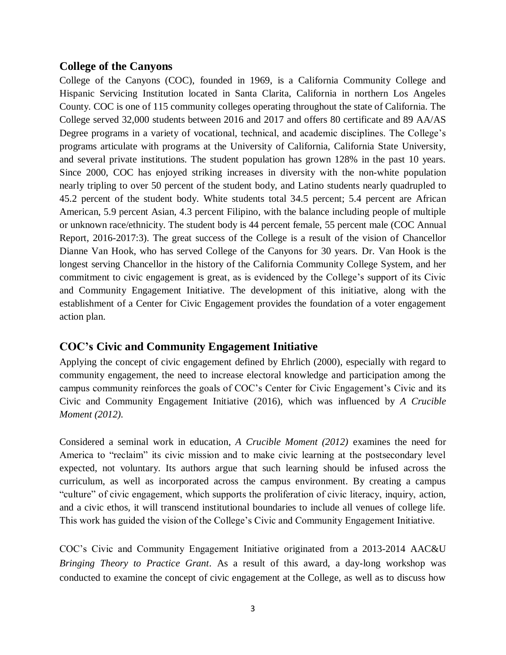## **College of the Canyons**

College of the Canyons (COC), founded in 1969, is a California Community College and Hispanic Servicing Institution located in Santa Clarita, California in northern Los Angeles County. COC is one of 115 community colleges operating throughout the state of California. The College served 32,000 students between 2016 and 2017 and offers 80 certificate and 89 AA/AS Degree programs in a variety of vocational, technical, and academic disciplines. The College's programs articulate with programs at the University of California, California State University, and several private institutions. The student population has grown 128% in the past 10 years. Since 2000, COC has enjoyed striking increases in diversity with the non-white population nearly tripling to over 50 percent of the student body, and Latino students nearly quadrupled to 45.2 percent of the student body. White students total 34.5 percent; 5.4 percent are African American, 5.9 percent Asian, 4.3 percent Filipino, with the balance including people of multiple or unknown race/ethnicity. The student body is 44 percent female, 55 percent male (COC Annual Report, 2016-2017:3). The great success of the College is a result of the vision of Chancellor Dianne Van Hook, who has served College of the Canyons for 30 years. Dr. Van Hook is the longest serving Chancellor in the history of the California Community College System, and her commitment to civic engagement is great, as is evidenced by the College's support of its Civic and Community Engagement Initiative. The development of this initiative, along with the establishment of a Center for Civic Engagement provides the foundation of a voter engagement action plan.

# **COC's Civic and Community Engagement Initiative**

Applying the concept of civic engagement defined by Ehrlich (2000), especially with regard to community engagement, the need to increase electoral knowledge and participation among the campus community reinforces the goals of COC's Center for Civic Engagement's Civic and its Civic and Community Engagement Initiative (2016), which was influenced by *A Crucible Moment (2012).*

Considered a seminal work in education, *A Crucible Moment (2012)* examines the need for America to "reclaim" its civic mission and to make civic learning at the postsecondary level expected, not voluntary. Its authors argue that such learning should be infused across the curriculum, as well as incorporated across the campus environment. By creating a campus "culture" of civic engagement, which supports the proliferation of civic literacy, inquiry, action, and a civic ethos, it will transcend institutional boundaries to include all venues of college life. This work has guided the vision of the College's Civic and Community Engagement Initiative.

COC's Civic and Community Engagement Initiative originated from a 2013-2014 AAC&U *Bringing Theory to Practice Grant*. As a result of this award, a day-long workshop was conducted to examine the concept of civic engagement at the College, as well as to discuss how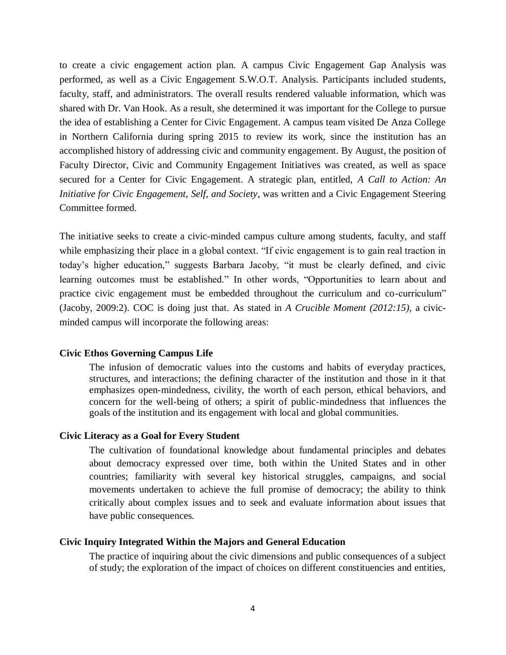to create a civic engagement action plan. A campus Civic Engagement Gap Analysis was performed, as well as a Civic Engagement S.W.O.T. Analysis. Participants included students, faculty, staff, and administrators. The overall results rendered valuable information, which was shared with Dr. Van Hook. As a result, she determined it was important for the College to pursue the idea of establishing a Center for Civic Engagement. A campus team visited De Anza College in Northern California during spring 2015 to review its work, since the institution has an accomplished history of addressing civic and community engagement. By August, the position of Faculty Director, Civic and Community Engagement Initiatives was created, as well as space secured for a Center for Civic Engagement. A strategic plan, entitled, *A Call to Action: An Initiative for Civic Engagement, Self, and Society*, was written and a Civic Engagement Steering Committee formed.

The initiative seeks to create a civic-minded campus culture among students, faculty, and staff while emphasizing their place in a global context. "If civic engagement is to gain real traction in today's higher education," suggests Barbara Jacoby, "it must be clearly defined, and civic learning outcomes must be established." In other words, "Opportunities to learn about and practice civic engagement must be embedded throughout the curriculum and co-curriculum" (Jacoby, 2009:2). COC is doing just that. As stated in *A Crucible Moment (2012:15),* a civicminded campus will incorporate the following areas:

## **Civic Ethos Governing Campus Life**

The infusion of democratic values into the customs and habits of everyday practices, structures, and interactions; the defining character of the institution and those in it that emphasizes open-mindedness, civility, the worth of each person, ethical behaviors, and concern for the well-being of others; a spirit of public-mindedness that influences the goals of the institution and its engagement with local and global communities.

## **Civic Literacy as a Goal for Every Student**

The cultivation of foundational knowledge about fundamental principles and debates about democracy expressed over time, both within the United States and in other countries; familiarity with several key historical struggles, campaigns, and social movements undertaken to achieve the full promise of democracy; the ability to think critically about complex issues and to seek and evaluate information about issues that have public consequences.

## **Civic Inquiry Integrated Within the Majors and General Education**

The practice of inquiring about the civic dimensions and public consequences of a subject of study; the exploration of the impact of choices on different constituencies and entities,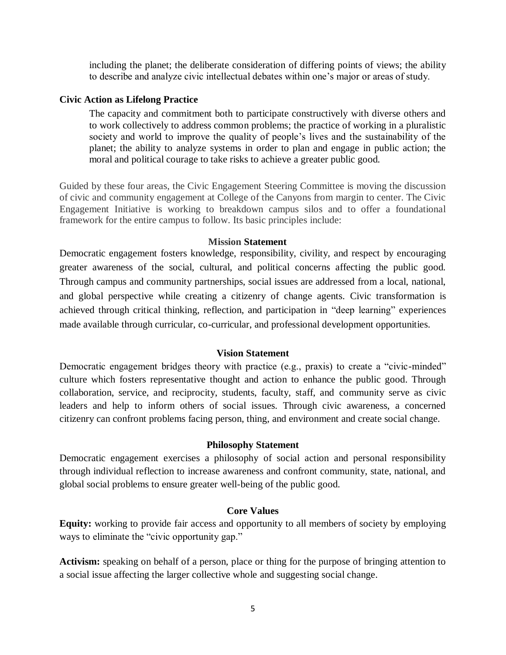including the planet; the deliberate consideration of differing points of views; the ability to describe and analyze civic intellectual debates within one's major or areas of study.

## **Civic Action as Lifelong Practice**

The capacity and commitment both to participate constructively with diverse others and to work collectively to address common problems; the practice of working in a pluralistic society and world to improve the quality of people's lives and the sustainability of the planet; the ability to analyze systems in order to plan and engage in public action; the moral and political courage to take risks to achieve a greater public good.

Guided by these four areas, the Civic Engagement Steering Committee is moving the discussion of civic and community engagement at College of the Canyons from margin to center. The Civic Engagement Initiative is working to breakdown campus silos and to offer a foundational framework for the entire campus to follow. Its basic principles include:

## **Mission Statement**

Democratic engagement fosters knowledge, responsibility, civility, and respect by encouraging greater awareness of the social, cultural, and political concerns affecting the public good. Through campus and community partnerships, social issues are addressed from a local, national, and global perspective while creating a citizenry of change agents. Civic transformation is achieved through critical thinking, reflection, and participation in "deep learning" experiences made available through curricular, co-curricular, and professional development opportunities.

## **Vision Statement**

Democratic engagement bridges theory with practice (e.g., praxis) to create a "civic-minded" culture which fosters representative thought and action to enhance the public good. Through collaboration, service, and reciprocity, students, faculty, staff, and community serve as civic leaders and help to inform others of social issues. Through civic awareness, a concerned citizenry can confront problems facing person, thing, and environment and create social change.

## **Philosophy Statement**

Democratic engagement exercises a philosophy of social action and personal responsibility through individual reflection to increase awareness and confront community, state, national, and global social problems to ensure greater well-being of the public good.

## **Core Values**

**Equity:** working to provide fair access and opportunity to all members of society by employing ways to eliminate the "civic opportunity gap."

**Activism:** speaking on behalf of a person, place or thing for the purpose of bringing attention to a social issue affecting the larger collective whole and suggesting social change.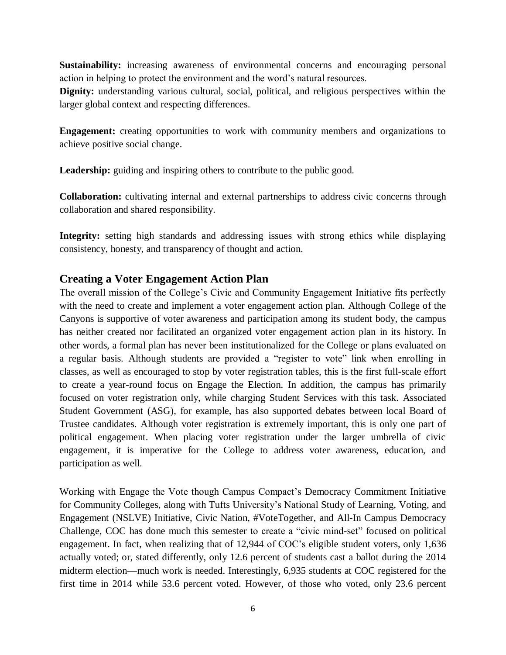**Sustainability:** increasing awareness of environmental concerns and encouraging personal action in helping to protect the environment and the word's natural resources.

**Dignity:** understanding various cultural, social, political, and religious perspectives within the larger global context and respecting differences.

**Engagement:** creating opportunities to work with community members and organizations to achieve positive social change.

Leadership: guiding and inspiring others to contribute to the public good.

**Collaboration:** cultivating internal and external partnerships to address civic concerns through collaboration and shared responsibility.

Integrity: setting high standards and addressing issues with strong ethics while displaying consistency, honesty, and transparency of thought and action.

# **Creating a Voter Engagement Action Plan**

The overall mission of the College's Civic and Community Engagement Initiative fits perfectly with the need to create and implement a voter engagement action plan. Although College of the Canyons is supportive of voter awareness and participation among its student body, the campus has neither created nor facilitated an organized voter engagement action plan in its history. In other words, a formal plan has never been institutionalized for the College or plans evaluated on a regular basis. Although students are provided a "register to vote" link when enrolling in classes, as well as encouraged to stop by voter registration tables, this is the first full-scale effort to create a year-round focus on Engage the Election. In addition, the campus has primarily focused on voter registration only, while charging Student Services with this task. Associated Student Government (ASG), for example, has also supported debates between local Board of Trustee candidates. Although voter registration is extremely important, this is only one part of political engagement. When placing voter registration under the larger umbrella of civic engagement, it is imperative for the College to address voter awareness, education, and participation as well.

Working with Engage the Vote though Campus Compact's Democracy Commitment Initiative for Community Colleges, along with Tufts University's National Study of Learning, Voting, and Engagement (NSLVE) Initiative, Civic Nation, #VoteTogether, and All-In Campus Democracy Challenge, COC has done much this semester to create a "civic mind-set" focused on political engagement. In fact, when realizing that of 12,944 of COC's eligible student voters, only 1,636 actually voted; or, stated differently, only 12.6 percent of students cast a ballot during the 2014 midterm election—much work is needed. Interestingly, 6,935 students at COC registered for the first time in 2014 while 53.6 percent voted. However, of those who voted, only 23.6 percent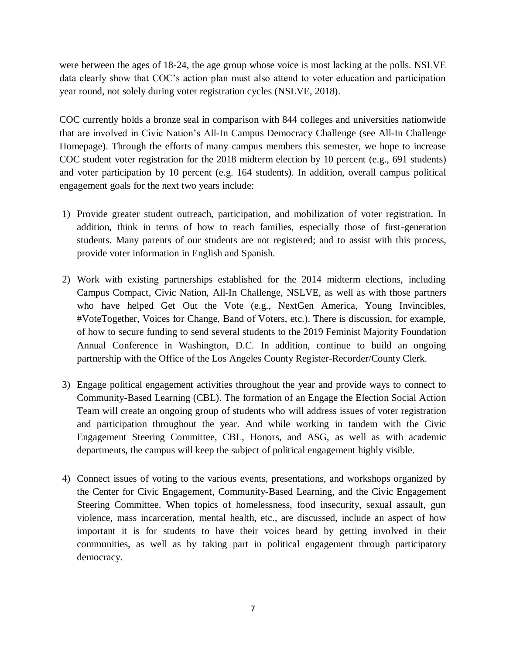were between the ages of 18-24, the age group whose voice is most lacking at the polls. NSLVE data clearly show that COC's action plan must also attend to voter education and participation year round, not solely during voter registration cycles (NSLVE, 2018).

COC currently holds a bronze seal in comparison with 844 colleges and universities nationwide that are involved in Civic Nation's All-In Campus Democracy Challenge (see All-In Challenge Homepage). Through the efforts of many campus members this semester, we hope to increase COC student voter registration for the 2018 midterm election by 10 percent (e.g., 691 students) and voter participation by 10 percent (e.g. 164 students). In addition, overall campus political engagement goals for the next two years include:

- 1) Provide greater student outreach, participation, and mobilization of voter registration. In addition, think in terms of how to reach families, especially those of first-generation students. Many parents of our students are not registered; and to assist with this process, provide voter information in English and Spanish.
- 2) Work with existing partnerships established for the 2014 midterm elections, including Campus Compact, Civic Nation, All-In Challenge, NSLVE, as well as with those partners who have helped Get Out the Vote (e.g., NextGen America, Young Invincibles, #VoteTogether, Voices for Change, Band of Voters, etc.). There is discussion, for example, of how to secure funding to send several students to the 2019 Feminist Majority Foundation Annual Conference in Washington, D.C. In addition, continue to build an ongoing partnership with the Office of the Los Angeles County Register-Recorder/County Clerk.
- 3) Engage political engagement activities throughout the year and provide ways to connect to Community-Based Learning (CBL). The formation of an Engage the Election Social Action Team will create an ongoing group of students who will address issues of voter registration and participation throughout the year. And while working in tandem with the Civic Engagement Steering Committee, CBL, Honors, and ASG, as well as with academic departments, the campus will keep the subject of political engagement highly visible.
- 4) Connect issues of voting to the various events, presentations, and workshops organized by the Center for Civic Engagement, Community-Based Learning, and the Civic Engagement Steering Committee. When topics of homelessness, food insecurity, sexual assault, gun violence, mass incarceration, mental health, etc., are discussed, include an aspect of how important it is for students to have their voices heard by getting involved in their communities, as well as by taking part in political engagement through participatory democracy.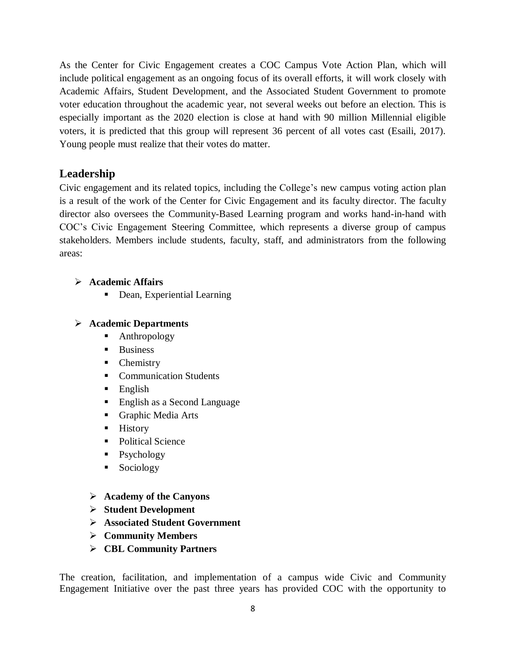As the Center for Civic Engagement creates a COC Campus Vote Action Plan, which will include political engagement as an ongoing focus of its overall efforts, it will work closely with Academic Affairs, Student Development, and the Associated Student Government to promote voter education throughout the academic year, not several weeks out before an election. This is especially important as the 2020 election is close at hand with 90 million Millennial eligible voters, it is predicted that this group will represent 36 percent of all votes cast (Esaili, 2017). Young people must realize that their votes do matter.

# **Leadership**

Civic engagement and its related topics, including the College's new campus voting action plan is a result of the work of the Center for Civic Engagement and its faculty director. The faculty director also oversees the Community-Based Learning program and works hand-in-hand with COC's Civic Engagement Steering Committee, which represents a diverse group of campus stakeholders. Members include students, faculty, staff, and administrators from the following areas:

# **Academic Affairs**

• Dean, Experiential Learning

# **Academic Departments**

- Anthropology
- **Business**
- Chemistry
- Communication Students
- $\blacksquare$  English
- English as a Second Language
- Graphic Media Arts
- $\blacksquare$  History
- Political Science
- Psychology
- **Sociology**
- **Academy of the Canyons**
- **Student Development**
- **Associated Student Government**
- **Community Members**
- **CBL Community Partners**

The creation, facilitation, and implementation of a campus wide Civic and Community Engagement Initiative over the past three years has provided COC with the opportunity to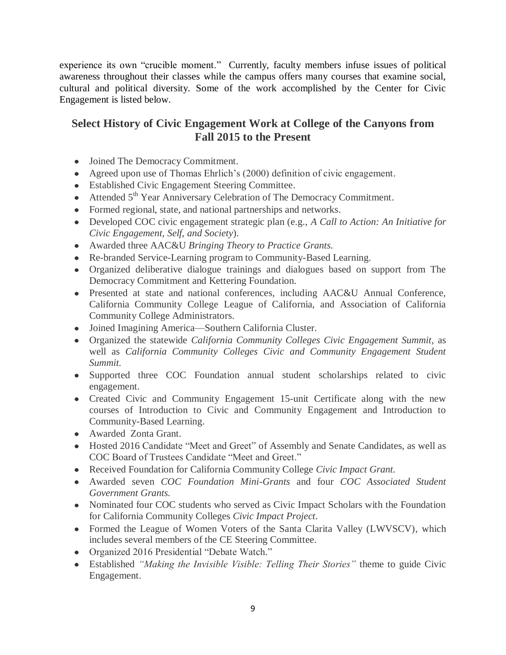experience its own "crucible moment." Currently, faculty members infuse issues of political awareness throughout their classes while the campus offers many courses that examine social, cultural and political diversity. Some of the work accomplished by the Center for Civic Engagement is listed below.

# **Select History of Civic Engagement Work at College of the Canyons from Fall 2015 to the Present**

- Joined The Democracy Commitment.
- Agreed upon use of Thomas Ehrlich's (2000) definition of civic engagement.
- Established Civic Engagement Steering Committee.
- Attended 5<sup>th</sup> Year Anniversary Celebration of The Democracy Commitment.
- Formed regional, state, and national partnerships and networks.
- Developed COC civic engagement strategic plan (e.g., *A Call to Action: An Initiative for Civic Engagement, Self, and Society*).
- Awarded three AAC&U *Bringing Theory to Practice Grants*.
- Re-branded Service-Learning program to Community-Based Learning.
- Organized deliberative dialogue trainings and dialogues based on support from The Democracy Commitment and Kettering Foundation.
- Presented at state and national conferences, including AAC&U Annual Conference, California Community College League of California, and Association of California Community College Administrators.
- Joined Imagining America—Southern California Cluster.
- Organized the statewide *California Community Colleges Civic Engagement Summit*, as well as *California Community Colleges Civic and Community Engagement Student Summit.*
- Supported three COC Foundation annual student scholarships related to civic engagement.
- Created Civic and Community Engagement 15-unit Certificate along with the new courses of Introduction to Civic and Community Engagement and Introduction to Community-Based Learning.
- Awarded Zonta Grant.
- Hosted 2016 Candidate "Meet and Greet" of Assembly and Senate Candidates, as well as COC Board of Trustees Candidate "Meet and Greet."
- Received Foundation for California Community College *Civic Impact Grant.*
- Awarded seven *COC Foundation Mini-Grants* and four *COC Associated Student Government Grants.*
- Nominated four COC students who served as Civic Impact Scholars with the Foundation for California Community Colleges *Civic Impact Project*.
- Formed the League of Women Voters of the Santa Clarita Valley (LWVSCV), which includes several members of the CE Steering Committee.
- Organized 2016 Presidential "Debate Watch."
- Established *"Making the Invisible Visible: Telling Their Stories"* theme to guide Civic Engagement.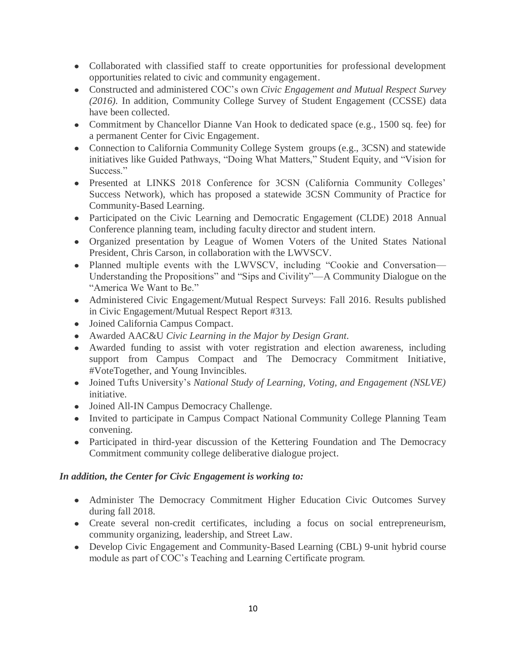- Collaborated with classified staff to create opportunities for professional development opportunities related to civic and community engagement.
- Constructed and administered COC's own *Civic Engagement and Mutual Respect Survey (2016).* In addition, Community College Survey of Student Engagement (CCSSE) data have been collected.
- Commitment by Chancellor Dianne Van Hook to dedicated space (e.g., 1500 sq. fee) for a permanent Center for Civic Engagement.
- Connection to California Community College System groups (e.g., 3CSN) and statewide initiatives like Guided Pathways, "Doing What Matters," Student Equity, and "Vision for Success."
- Presented at LINKS 2018 Conference for 3CSN (California Community Colleges' Success Network), which has proposed a statewide 3CSN Community of Practice for Community-Based Learning.
- Participated on the Civic Learning and Democratic Engagement (CLDE) 2018 Annual Conference planning team, including faculty director and student intern.
- Organized presentation by League of Women Voters of the United States National President, Chris Carson, in collaboration with the LWVSCV.
- Planned multiple events with the LWVSCV, including "Cookie and Conversation— Understanding the Propositions" and "Sips and Civility"—A Community Dialogue on the "America We Want to Be."
- Administered Civic Engagement/Mutual Respect Surveys: Fall 2016. Results published in Civic Engagement/Mutual Respect Report #313.
- Joined California Campus Compact.
- Awarded AAC&U *Civic Learning in the Major by Design Grant.*
- Awarded funding to assist with voter registration and election awareness, including support from Campus Compact and The Democracy Commitment Initiative, #VoteTogether, and Young Invincibles.
- Joined Tufts University's *National Study of Learning, Voting, and Engagement (NSLVE)* initiative.
- Joined All-IN Campus Democracy Challenge.
- Invited to participate in Campus Compact National Community College Planning Team convening.
- Participated in third-year discussion of the Kettering Foundation and The Democracy Commitment community college deliberative dialogue project.

## *In addition, the Center for Civic Engagement is working to:*

- Administer The Democracy Commitment Higher Education Civic Outcomes Survey during fall 2018.
- Create several non-credit certificates, including a focus on social entrepreneurism, community organizing, leadership, and Street Law.
- Develop Civic Engagement and Community-Based Learning (CBL) 9-unit hybrid course module as part of COC's Teaching and Learning Certificate program.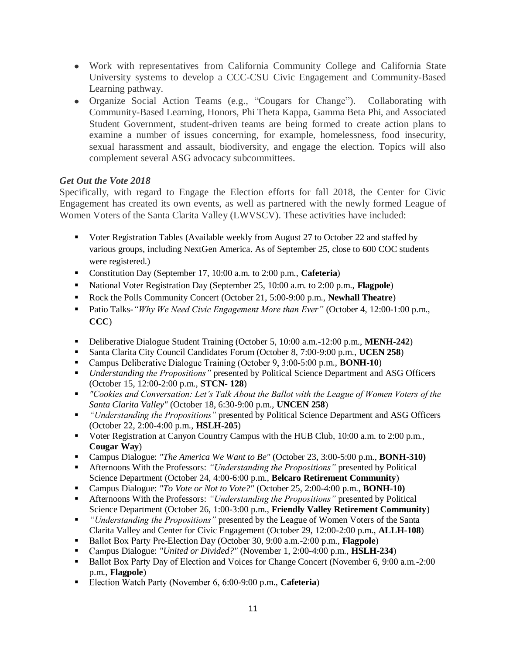- Work with representatives from California Community College and California State University systems to develop a CCC-CSU Civic Engagement and Community-Based Learning pathway.
- Organize Social Action Teams (e.g., "Cougars for Change"). Collaborating with Community-Based Learning, Honors, Phi Theta Kappa, Gamma Beta Phi, and Associated Student Government, student-driven teams are being formed to create action plans to examine a number of issues concerning, for example, homelessness, food insecurity, sexual harassment and assault, biodiversity, and engage the election. Topics will also complement several ASG advocacy subcommittees.

## *Get Out the Vote 2018*

Specifically, with regard to Engage the Election efforts for fall 2018, the Center for Civic Engagement has created its own events, as well as partnered with the newly formed League of Women Voters of the Santa Clarita Valley (LWVSCV). These activities have included:

- Voter Registration Tables (Available weekly from August 27 to October 22 and staffed by various groups, including NextGen America. As of September 25, close to 600 COC students were registered.)
- Constitution Day (September 17, 10:00 a.m. to 2:00 p.m., **Cafeteria**)
- National Voter Registration Day (September 25, 10:00 a.m. to 2:00 p.m., **Flagpole**)
- Rock the Polls Community Concert (October 21, 5:00-9:00 p.m., **Newhall Theatre**)
- Patio Talks*-"Why We Need Civic Engagement More than Ever"* (October 4, 12:00-1:00 p.m., **CCC**)
- Deliberative Dialogue Student Training (October 5, 10:00 a.m.-12:00 p.m., **MENH-242**)
- Santa Clarita City Council Candidates Forum (October 8, 7:00-9:00 p.m., **UCEN 258**)
- Campus Deliberative Dialogue Training (October 9, 3:00-5:00 p.m., **BONH-10**)
- *Understanding the Propositions"* presented by Political Science Department and ASG Officers (October 15, 12:00-2:00 p.m., **STCN- 128**)
- *"Cookies and Conversation: Let's Talk About the Ballot with the League of Women Voters of the Santa Clarita Valley"* (October 18, 6:30-9:00 p.m., **UNCEN 258**)
- <sup>•</sup> "Understanding the Propositions" presented by Political Science Department and ASG Officers (October 22, 2:00-4:00 p.m., **HSLH-205**)
- Voter Registration at Canyon Country Campus with the HUB Club, 10:00 a.m. to 2:00 p.m., **Cougar Way**)
- Campus Dialogue: *"The America We Want to Be"* (October 23, 3:00-5:00 p.m., **BONH-310)**
- Afternoons With the Professors: *"Understanding the Propositions"* presented by Political Science Department (October 24, 4:00-6:00 p.m., **Belcaro Retirement Community**)
- Campus Dialogue: *"To Vote or Not to Vote?"* (October 25, 2:00-4:00 p.m., **BONH-10)**
- Afternoons With the Professors: *"Understanding the Propositions"* presented by Political Science Department (October 26, 1:00-3:00 p.m., **Friendly Valley Retirement Community**)
- **n** "Understanding the Propositions" presented by the League of Women Voters of the Santa Clarita Valley and Center for Civic Engagement (October 29, 12:00-2:00 p.m., **ALLH-108**)
- -Election Day (October 30, 9:00 a.m.-2:00 p.m., **Flagpole**)
- pus Dialogue: *"United or Divided?"* (November 1, 2:00-4:00 p.m., **HSLH-234**)
- Ballot Box Party Day of Election and Voices for Change Concert (November 6, 9:00 a.m.-2:00) p.m., **Flagpole**)
- **Election Watch Party (November 6, 6:00-9:00 p.m., Cafeteria)**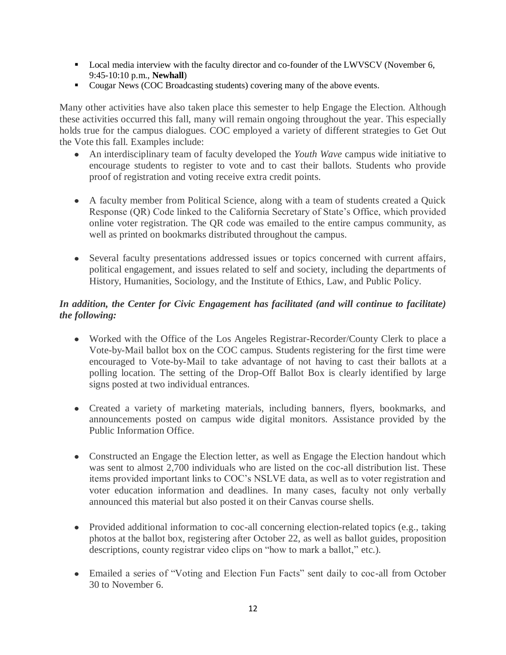- **Local media interview with the faculty director and co-founder of the LWVSCV (November 6,** 9:45-10:10 p.m., **Newhall**)
- Cougar News (COC Broadcasting students) covering many of the above events.

Many other activities have also taken place this semester to help Engage the Election. Although these activities occurred this fall, many will remain ongoing throughout the year. This especially holds true for the campus dialogues. COC employed a variety of different strategies to Get Out the Vote this fall. Examples include:

- $\bullet$ An interdisciplinary team of faculty developed the *Youth Wave* campus wide initiative to encourage students to register to vote and to cast their ballots. Students who provide proof of registration and voting receive extra credit points.
- A faculty member from Political Science, along with a team of students created a Quick Response (QR) Code linked to the California Secretary of State's Office, which provided online voter registration. The QR code was emailed to the entire campus community, as well as printed on bookmarks distributed throughout the campus.
- Several faculty presentations addressed issues or topics concerned with current affairs, political engagement, and issues related to self and society, including the departments of History, Humanities, Sociology, and the Institute of Ethics, Law, and Public Policy.

# *In addition, the Center for Civic Engagement has facilitated (and will continue to facilitate) the following:*

- Worked with the Office of the Los Angeles Registrar-Recorder/County Clerk to place a Vote-by-Mail ballot box on the COC campus. Students registering for the first time were encouraged to Vote-by-Mail to take advantage of not having to cast their ballots at a polling location. The setting of the Drop-Off Ballot Box is clearly identified by large signs posted at two individual entrances.
- Created a variety of marketing materials, including banners, flyers, bookmarks, and announcements posted on campus wide digital monitors. Assistance provided by the Public Information Office.
- Constructed an Engage the Election letter, as well as Engage the Election handout which was sent to almost 2,700 individuals who are listed on the coc-all distribution list. These items provided important links to COC's NSLVE data, as well as to voter registration and voter education information and deadlines. In many cases, faculty not only verbally announced this material but also posted it on their Canvas course shells.
- Provided additional information to coc-all concerning election-related topics (e.g., taking photos at the ballot box, registering after October 22, as well as ballot guides, proposition descriptions, county registrar video clips on "how to mark a ballot," etc.).
- Emailed a series of "Voting and Election Fun Facts" sent daily to coc-all from October 30 to November 6.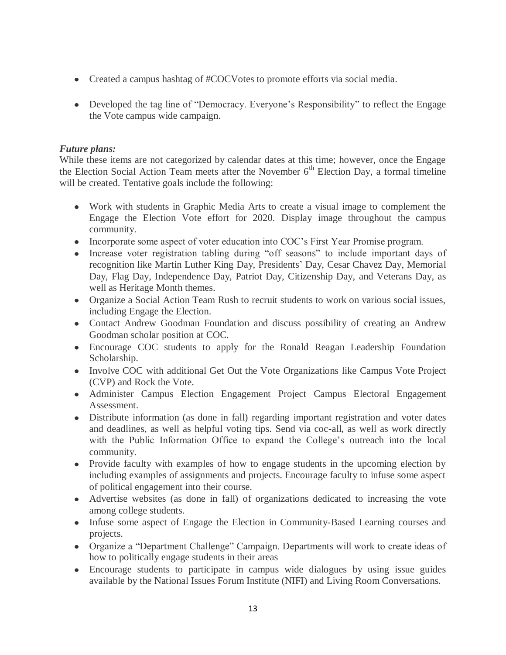- Created a campus hashtag of #COCVotes to promote efforts via social media.
- Developed the tag line of "Democracy. Everyone's Responsibility" to reflect the Engage the Vote campus wide campaign.

## *Future plans:*

While these items are not categorized by calendar dates at this time; however, once the Engage the Election Social Action Team meets after the November  $6<sup>th</sup>$  Election Day, a formal timeline will be created. Tentative goals include the following:

- Work with students in Graphic Media Arts to create a visual image to complement the Engage the Election Vote effort for 2020. Display image throughout the campus community.
- Incorporate some aspect of voter education into COC's First Year Promise program.
- Increase voter registration tabling during "off seasons" to include important days of recognition like Martin Luther King Day, Presidents' Day, Cesar Chavez Day, Memorial Day, Flag Day, Independence Day, Patriot Day, Citizenship Day, and Veterans Day, as well as Heritage Month themes.
- Organize a Social Action Team Rush to recruit students to work on various social issues, including Engage the Election.
- Contact Andrew Goodman Foundation and discuss possibility of creating an Andrew Goodman scholar position at COC.
- Encourage COC students to apply for the Ronald Reagan Leadership Foundation Scholarship.
- Involve COC with additional Get Out the Vote Organizations like Campus Vote Project (CVP) and Rock the Vote.
- Administer Campus Election Engagement Project Campus Electoral Engagement Assessment.
- Distribute information (as done in fall) regarding important registration and voter dates and deadlines, as well as helpful voting tips. Send via coc-all, as well as work directly with the Public Information Office to expand the College's outreach into the local community.
- Provide faculty with examples of how to engage students in the upcoming election by including examples of assignments and projects. Encourage faculty to infuse some aspect of political engagement into their course.
- Advertise websites (as done in fall) of organizations dedicated to increasing the vote among college students.
- Infuse some aspect of Engage the Election in Community-Based Learning courses and projects.
- Organize a "Department Challenge" Campaign. Departments will work to create ideas of how to politically engage students in their areas
- Encourage students to participate in campus wide dialogues by using issue guides available by the National Issues Forum Institute (NIFI) and Living Room Conversations.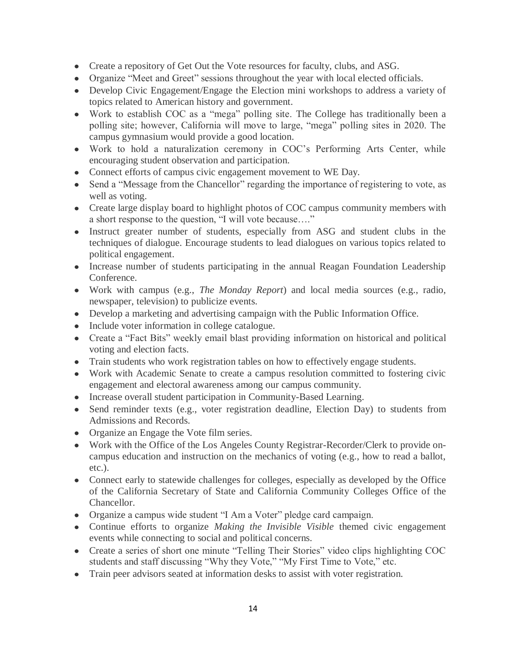- Create a repository of Get Out the Vote resources for faculty, clubs, and ASG.
- Organize "Meet and Greet" sessions throughout the year with local elected officials.
- Develop Civic Engagement/Engage the Election mini workshops to address a variety of topics related to American history and government.
- Work to establish COC as a "mega" polling site. The College has traditionally been a polling site; however, California will move to large, "mega" polling sites in 2020. The campus gymnasium would provide a good location.
- Work to hold a naturalization ceremony in COC's Performing Arts Center, while encouraging student observation and participation.
- Connect efforts of campus civic engagement movement to WE Day.
- Send a "Message from the Chancellor" regarding the importance of registering to vote, as well as voting.
- Create large display board to highlight photos of COC campus community members with a short response to the question, "I will vote because…."
- Instruct greater number of students, especially from ASG and student clubs in the techniques of dialogue. Encourage students to lead dialogues on various topics related to political engagement.
- Increase number of students participating in the annual Reagan Foundation Leadership Conference.
- Work with campus (e.g., *The Monday Report*) and local media sources (e.g., radio, newspaper, television) to publicize events.
- Develop a marketing and advertising campaign with the Public Information Office.
- Include voter information in college catalogue.
- Create a "Fact Bits" weekly email blast providing information on historical and political voting and election facts.
- Train students who work registration tables on how to effectively engage students.
- Work with Academic Senate to create a campus resolution committed to fostering civic engagement and electoral awareness among our campus community.
- Increase overall student participation in Community-Based Learning.
- Send reminder texts (e.g., voter registration deadline, Election Day) to students from Admissions and Records.
- Organize an Engage the Vote film series.
- Work with the Office of the Los Angeles County Registrar-Recorder/Clerk to provide oncampus education and instruction on the mechanics of voting (e.g., how to read a ballot, etc.).
- Connect early to statewide challenges for colleges, especially as developed by the Office of the California Secretary of State and California Community Colleges Office of the Chancellor.
- Organize a campus wide student "I Am a Voter" pledge card campaign.
- Continue efforts to organize *Making the Invisible Visible* themed civic engagement events while connecting to social and political concerns.
- Create a series of short one minute "Telling Their Stories" video clips highlighting COC students and staff discussing "Why they Vote," "My First Time to Vote," etc.
- Train peer advisors seated at information desks to assist with voter registration.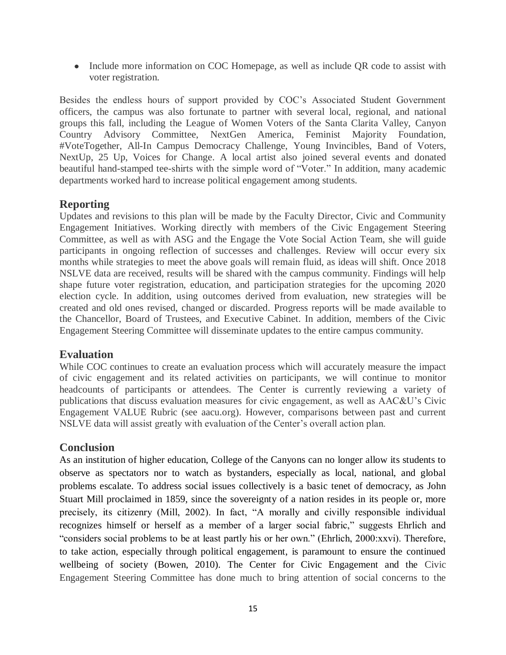• Include more information on COC Homepage, as well as include QR code to assist with voter registration.

Besides the endless hours of support provided by COC's Associated Student Government officers, the campus was also fortunate to partner with several local, regional, and national groups this fall, including the League of Women Voters of the Santa Clarita Valley, Canyon Country Advisory Committee, NextGen America, Feminist Majority Foundation, #VoteTogether, All-In Campus Democracy Challenge, Young Invincibles, Band of Voters, NextUp, 25 Up, Voices for Change. A local artist also joined several events and donated beautiful hand-stamped tee-shirts with the simple word of "Voter." In addition, many academic departments worked hard to increase political engagement among students.

# **Reporting**

Updates and revisions to this plan will be made by the Faculty Director, Civic and Community Engagement Initiatives. Working directly with members of the Civic Engagement Steering Committee, as well as with ASG and the Engage the Vote Social Action Team, she will guide participants in ongoing reflection of successes and challenges. Review will occur every six months while strategies to meet the above goals will remain fluid, as ideas will shift. Once 2018 NSLVE data are received, results will be shared with the campus community. Findings will help shape future voter registration, education, and participation strategies for the upcoming 2020 election cycle. In addition, using outcomes derived from evaluation, new strategies will be created and old ones revised, changed or discarded. Progress reports will be made available to the Chancellor, Board of Trustees, and Executive Cabinet. In addition, members of the Civic Engagement Steering Committee will disseminate updates to the entire campus community.

# **Evaluation**

While COC continues to create an evaluation process which will accurately measure the impact of civic engagement and its related activities on participants, we will continue to monitor headcounts of participants or attendees. The Center is currently reviewing a variety of publications that discuss evaluation measures for civic engagement, as well as AAC&U's Civic Engagement VALUE Rubric (see aacu.org). However, comparisons between past and current NSLVE data will assist greatly with evaluation of the Center's overall action plan.

# **Conclusion**

As an institution of higher education, College of the Canyons can no longer allow its students to observe as spectators nor to watch as bystanders, especially as local, national, and global problems escalate. To address social issues collectively is a basic tenet of democracy, as John Stuart Mill proclaimed in 1859, since the sovereignty of a nation resides in its people or, more precisely, its citizenry (Mill, 2002). In fact, "A morally and civilly responsible individual recognizes himself or herself as a member of a larger social fabric," suggests Ehrlich and "considers social problems to be at least partly his or her own." (Ehrlich, 2000:xxvi). Therefore, to take action, especially through political engagement, is paramount to ensure the continued wellbeing of society (Bowen, 2010). The Center for Civic Engagement and the Civic Engagement Steering Committee has done much to bring attention of social concerns to the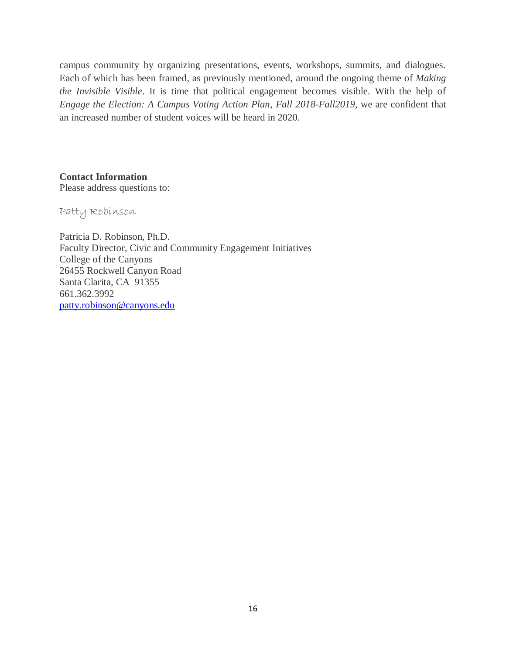campus community by organizing presentations, events, workshops, summits, and dialogues. Each of which has been framed, as previously mentioned, around the ongoing theme of *Making the Invisible Visible*. It is time that political engagement becomes visible. With the help of *Engage the Election: A Campus Voting Action Plan, Fall 2018-Fall2019*, we are confident that an increased number of student voices will be heard in 2020.

**Contact Information** Please address questions to:

Patty Robinson

Patricia D. Robinson, Ph.D. Faculty Director, Civic and Community Engagement Initiatives College of the Canyons 26455 Rockwell Canyon Road Santa Clarita, CA 91355 661.362.3992 [patty.robinson@canyons.edu](mailto:patty.robinson@canyons.edu)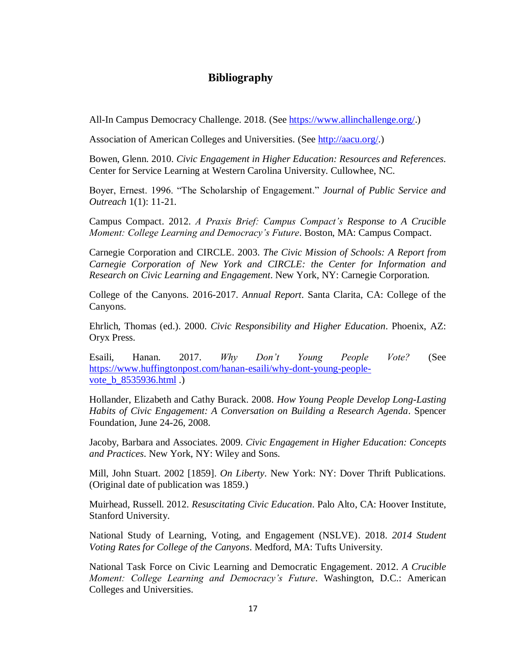# **Bibliography**

All-In Campus Democracy Challenge. 2018. (See [https://www.allinchallenge.org/.](https://www.allinchallenge.org/))

Association of American Colleges and Universities. (Se[e http://aacu.org/.](http://aacu.org/))

Bowen, Glenn. 2010. *Civic Engagement in Higher Education: Resources and References*. Center for Service Learning at Western Carolina University. Cullowhee, NC.

Boyer, Ernest. 1996. "The Scholarship of Engagement." *Journal of Public Service and Outreach* 1(1): 11-21.

Campus Compact. 2012. *A Praxis Brief: Campus Compact's Response to A Crucible Moment: College Learning and Democracy's Future*. Boston, MA: Campus Compact.

Carnegie Corporation and CIRCLE. 2003. *The Civic Mission of Schools: A Report from Carnegie Corporation of New York and CIRCLE: the Center for Information and Research on Civic Learning and Engagement*. New York, NY: Carnegie Corporation.

College of the Canyons. 2016-2017. *Annual Report*. Santa Clarita, CA: College of the Canyons.

Ehrlich, Thomas (ed.). 2000. *Civic Responsibility and Higher Education*. Phoenix, AZ: Oryx Press.

Esaili, Hanan. 2017. *Why Don't Young People Vote?* (See [https://www.huffingtonpost.com/hanan-esaili/why-dont-young-people](https://www.huffingtonpost.com/hanan-esaili/why-dont-young-people-vote_b_8535936.html)[vote\\_b\\_8535936.html](https://www.huffingtonpost.com/hanan-esaili/why-dont-young-people-vote_b_8535936.html) .)

Hollander, Elizabeth and Cathy Burack. 2008. *How Young People Develop Long-Lasting Habits of Civic Engagement: A Conversation on Building a Research Agenda*. Spencer Foundation, June 24-26, 2008.

Jacoby, Barbara and Associates. 2009. *Civic Engagement in Higher Education: Concepts and Practices*. New York, NY: Wiley and Sons.

Mill, John Stuart. 2002 [1859]. *On Liberty*. New York: NY: Dover Thrift Publications. (Original date of publication was 1859.)

Muirhead, Russell. 2012. *Resuscitating Civic Education*. Palo Alto, CA: Hoover Institute, Stanford University.

National Study of Learning, Voting, and Engagement (NSLVE). 2018. *2014 Student Voting Rates for College of the Canyons*. Medford, MA: Tufts University.

National Task Force on Civic Learning and Democratic Engagement. 2012. *A Crucible Moment: College Learning and Democracy's Future*. Washington, D.C.: American Colleges and Universities.